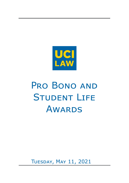

# PRO BONO AND **STUDENT LIFE AWARDS**

Tuesday, May 11, 2021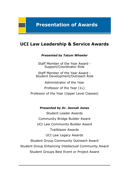# **Presentation of Awards**

# **UCI Law Leadership & Service Awards**

*Presented by Tatum Wheeler*

Staff Member of the Year Award - Support/Coordinator Role

Staff Member of the Year Award - Student Development/Outreach Role

Administrator of the Year

Professor of the Year (1L)

Professor of the Year (Upper Level Classes)

*Presented by Dr. Jennah Jones*

Student Leader Awards Community Bridge Builder Award UCI Law Community Builder Award Trailblazer Awards UCI Law Legacy Awards Student Group Community Outreach Award Student Group Enhancing Intellectual Community Award Student Groups Best Event or Project Award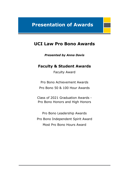# **Presentation of Awards**

# **UCI Law Pro Bono Awards**

*Presented by Anna Davis* 

### **Faculty & Student Awards**

Faculty Award

Pro Bono Achievement Awards Pro Bono 50 & 100 Hour Awards

Class of 2021 Graduation Awards - Pro Bono Honors and High Honors

Pro Bono Leadership Awards Pro Bono Independent Spirit Award Most Pro Bono Hours Award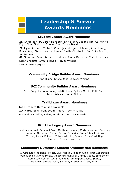# **Leadership & Service Awards Nominees**

### **Student Leader Award Nominees**

*1L:* Annie Barker, Sarah Beydoun, Erin Black, Susana Min, Catherine Page, Ethan Smith, LaBreonna Stori-Turner Bland

*2L:* Ryan Aymard, Victoria Cendejas, Margaret Hinson, Ann Huang, Kristie Kang, Sydney Martin, Jasmine Smith, Christopher Su, Emily Tanaka, Jon Widjaja

*3L:* Sumouni Basu, Kennedy Holmes, Avery Kunstler, Chris Law rence,

Sarah Shahatto, Amruta Trivedi, Tatum Wheeler

*LLM:* Claire Menjivar

#### **Community Bridge Builder Award Nominees**

Ann Huang, Kristie Kang, Jamison Whiting

### **UCI Community Builder Award Nominees**

Shey Coughlan, Ann Huang, Kristie Kang, Sydney Martin, Katie Raitz, Tatum Wheeler, Jordin Wilcher

### **Trailblazer Award Nominees**

- *1L:* Elizabeth Duran, Lilla Lavanakul
- 2L: Margaret Hinson, Sydney Martin, Jon Widjaja
- *3L:* Melissa Colón, Kelsey Goldman, Amruta Trivedi

#### **UCI Law Legacy Award Nominees**

Matthew Arnold, Sumouni Basu, Matthew Hallman, Chris Lawrence, Courtney Lem, Anne Nicholson, Sophie Paeng, Catherine "Katie" Rosoff, Amruta Trivedi, Alexis Weitzner, Tatum Wheeler, Jamison "J-Mo" Whiting, Margaret "Maggie" Woodruff

### **Community Outreach: Student Organization Nominees**

Al Otro Lado Pro Bono Project, Civil Rights Litigation Clinic, First Generation Professionals, If/When/How, Innocence Rights of Orange County (Pro Bono), Korea Law Center, Law Students for Immigrant Justice (LSIJ), National Lawyers Guild, Saturday Academy of Law, TLAC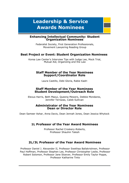# **Leadership & Service Awards Nominees**

#### **Enhancing Intellectual Community: Student Organization Nominees**

Federalist Society, First Generation Professionals, Movement Lawyering Reading Group

#### **Best Project or Event: Student Organization Nominees**

Korea Law Center's Interview Tips with Judge Lee, Mock Trial, Mutual Aid, Organizing and the Law

#### **Staff Member of the Year Nominees Support/Coordinator Role**

Laura Castillo, Debi Gloria, Rabie Kadri

#### **Staff Member of the Year Nominees Student Development/Outreach Role**

Elexus Harris, Beth Maoui, Queena Mewers, Debbie Mondares, Jennifer Terrazas, Caleb Sullivan

#### **Administrator of the Year Nominees Dean or Director Role**

Dean Sameer Ashar, Anna Davis, Dean Jennah Jones, Dean Jessica Whytock

#### **1L Professor of the Year Award Nominees**

Professor Rachel Croskery-Roberts, Professor Shauhin Talesh

### **2L/3L Professor of the Year Award Nominees**

Professor Daniel J. Alexander II, Professor Swethaa Ballakrishnen, Professor Paul Hoffman, Professor Stephen Lee, Professor Christopher Leslie, Professor Robert Solomon, Professor Jane Stoever, Professor Emily Taylor Poppe, Professor Katharine Tinto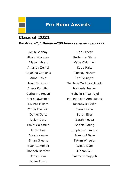### **Class of 2021**

*Pro Bono High Honors—200 Hours Cumulative over 3 YRS*

Jenae Rusch

Akila Shenoy **Kari Ferver** Alexis Weitzner **Katherine Shuai** Allyson Myers Katie O'donnell Amanda Zemel Katie Raitz Angelina Caplanis Lindsay Marum Anna Hales **Lya Ferreyra** Anne Nicholson Matthew Maddock Arnold Avery Kunstler Michaela Posner Catherine Rosoff Michelle Shiba Pujol Chris Lawrence Pauline Loan Anh Duong Christa Millard Ricardo Jr Corte Curtis Franklin Sarah Kahn Daniel Ganz Sarah Eller Dylan Gera Sarah Mousa Emily Goldstein Sophie Paeng Emily Tsai Stephanie Lim Lee Erica Navarro Sumouni Basu Ethan Greene Tatum Wheeler Evan Campbell Widad Diab Hannah Bartlett Xinnan Wu James Kim Yasmeen Sayyah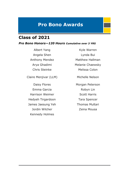# **Class of 2021**

#### *Pro Bono Honors—120 Hours Cumulative over 3 YRS*

Angela Shen Lynda Bui

Claire Menjivar (LLM) Michelle Nelson

Daisy Flores Morgan Peterson Emma Garcia **Robyn Lin** Harrison Weimer Scott Harris Hedyeh Tirgardoon Tara Spencer James Jaesung Yeh Thomas Multari Jordin Wilcher **Zeina Mousa** Kennedy Holmes

Albert Yang Kyle Warren Anthony Mendez Matthew Hallman Arya Ghadimi Melanie Chaewsky Chris Steinke Melissa Colon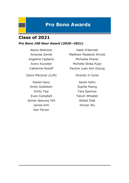# **Class of 2021**

### *Pro Bono 100 Hour Award (2020—2021)*

Claire Menjivar (LLM) Ricardo Jr Corte

Daniel Ganz Sarah Kahn Emily Goldstein Sophie Paeng Emily Tsai **Tara Spencer** Evan Campbell **Tatum Wheeler** James Jaesung Yeh Widad Diab James Kim Xinnan Wu Kari Ferver

Alexis Weitzner **Katie O'donnell** Amanda Zemel Matthew Maddock Arnold Angelina Caplanis Michaela Posner Avery Kunstler Michelle Shiba Pujol Catherine Rosoff Pauline Loan Anh Duong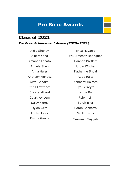# **Class of 2021**

*Pro Bono Achievement Award (2020—2021)*

Akila Shenoy Erica Navarro Anthony Mendez Katie Raitz Christa Millard Lynda Bui Courtney Lem Robyn Lin

Albert Yang Erik Jimenez Rodriguez Amanda Lapato Hannah Bartlett Angela Shen Jordin Wilcher Anna Hales **Katherine Shuai** Arya Ghadimi Kennedy Holmes Chris Lawrence Lya Ferreyra Daisy Flores Sarah Eller Dylan Gera Sarah Shahatto Emily Horak Scott Harris Emma Garcia Yasmeen Sayyah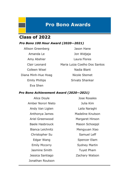# **Class of 2022**

### *Pro Bono 100 Hour Award (2020—2021)*

Eva Shen

Allison Greenberg **Jason Hane** Amanda Le Jon Widjaja Amy Abshier **Laura Flores** Clair Leonard Maria Luiza Coelho Dos Santos Colleen Wisel Nadia Blant Diana Minh-Hue Hoag Nicole Stemet Emily Phillips Srivats Shankar

#### *Pro Bono Achievement Award (2020—2021)*

Amber Norori Nieto Julia Kim Andy Van Ligten Laila Naraghi Christopher Su Samuel Leff Jasmine Smith Tuyet Pham Jonathan Routson

Alice Doyle Jose Rosales Anthonya James Madeline Knutson Ariel Greenwood Margaret Hinson Baele Hasbrouck Mason Schoeppl Bianca Leichnitz Mengyuan Xiao Edgar Wang Spencer Elam Emily Mccorry Sydney Martin Jessica Santiago **Zachary Watson**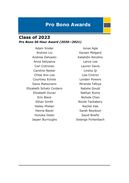### *Pro Bono 50 Hour Award (2020—2021)* **Class of 2023**

Adam Snider **Jonas Agle** Andrew Liu Karsen Melgard Andrew Delvasto Katahdin Rendino Anna Setyaeva Lance Lee Carl Cotroneo Lauren Davis Caroline Nester **Linsha Qi** Chloe Ann Lee Lisa Cintron Courtney Echols **Londen Powers** Dana Matsunami Miranda Tafoya Elizabeth Schatz Cordero Natalie Gould Elizabeth Duran Nathan Romo Erin Black Nichole Chen Ethan Smith Nicole Tackabery Hailey Phelan Rachel Iida Hanna Bayer Sarah Beydoun Honoka Ozeki Sayid Bnefsi

Jasper Burroughs Solange Fortenbach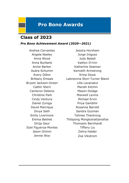# **Class of 2023**

#### *Pro Bono Achievement Award (2020—2021)*

Itzel Figueroa-Montes Tiffany Liu

Andrea Cervantes Jessica Horsham Angela Neeley Jorge Iniguez Anna Wood Judy Baladi Anna Burbank Kaitlyn O'rinn Annie Barker Katherine Seaman Audra Schumm Kenneth Armstrong Avery Dillon Krina Desai Brittany Emsais Labreonna Stori-Turner Bland Bryant Jackson-Green Lilla Lavanakul Caitlin Stern Mariah Kitchin Cameron Dekens Mason Doidge Christine Park Maxwell Levins Cindy Ventura Michael Ervin Daniel Zuniga **Priya Gambhir** David Manrique Rosanna Barrett Divya Seth Sandra Guzman Emily Livermore Tahnee Thantrong Emma Bekhet Thitipong Mongkolrattanothai Girija Gaur Thomasin Bernhardt Jason Grimm Zehra Haider Jennie Woo Zoe Vikstrom